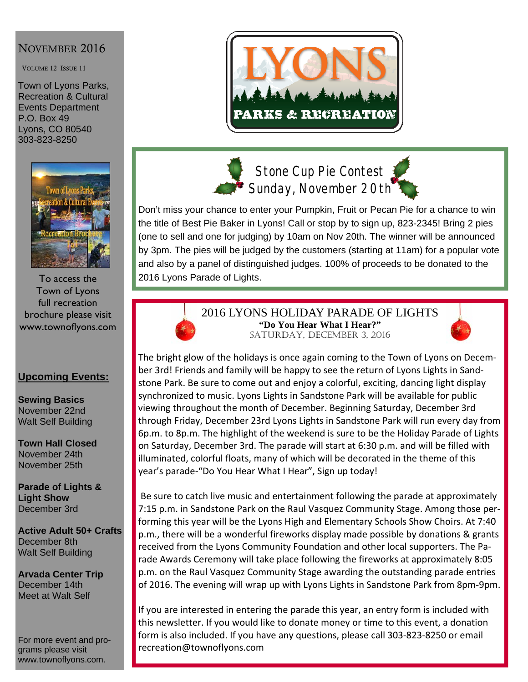# NOVEMBER 2016

VOLUME 12 ISSUE 11

Town of Lyons Parks, Recreation & Cultural Events Department P.O. Box 49 Lyons, CO 80540 303-823-8250



To access the Town of Lyons full recreation brochure please visit www.townoflyons.com

## **Upcoming Events:**

**Sewing Basics**  November 22nd Walt Self Building

**Town Hall Closed**  November 24th November 25th

**Parade of Lights & Light Show**  December 3rd

**Active Adult 50+ Crafts**  December 8th Walt Self Building

**Arvada Center Trip**  December 14th Meet at Walt Self

For more event and programs please visit www.townoflyons.com.





**Stone Cup Pie Contest Sunday, November 20th** 



Don't miss your chance to enter your Pumpkin, Fruit or Pecan Pie for a chance to win the title of Best Pie Baker in Lyons! Call or stop by to sign up, 823-2345! Bring 2 pies (one to sell and one for judging) by 10am on Nov 20th. The winner will be announced by 3pm. The pies will be judged by the customers (starting at 11am) for a popular vote and also by a panel of distinguished judges. 100% of proceeds to be donated to the 2016 Lyons Parade of Lights.



2016 LYONS HOLIDAY PARADE OF LIGHTS **"Do You Hear What I Hear?"**  SATURDAY, DECEMBER 3, 2016



The bright glow of the holidays is once again coming to the Town of Lyons on Decem‐ ber 3rd! Friends and family will be happy to see the return of Lyons Lights in Sand‐ stone Park. Be sure to come out and enjoy a colorful, exciting, dancing light display synchronized to music. Lyons Lights in Sandstone Park will be available for public viewing throughout the month of December. Beginning Saturday, December 3rd through Friday, December 23rd Lyons Lights in Sandstone Park will run every day from 6p.m. to 8p.m. The highlight of the weekend is sure to be the Holiday Parade of Lights on Saturday, December 3rd. The parade will start at 6:30 p.m. and will be filled with illuminated, colorful floats, many of which will be decorated in the theme of this year's parade‐"Do You Hear What I Hear", Sign up today!

Be sure to catch live music and entertainment following the parade at approximately 7:15 p.m. in Sandstone Park on the Raul Vasquez Community Stage. Among those per‐ forming this year will be the Lyons High and Elementary Schools Show Choirs. At 7:40 p.m., there will be a wonderful fireworks display made possible by donations & grants received from the Lyons Community Foundation and other local supporters. The Pa‐ rade Awards Ceremony will take place following the fireworks at approximately 8:05 p.m. on the Raul Vasquez Community Stage awarding the outstanding parade entries of 2016. The evening will wrap up with Lyons Lights in Sandstone Park from 8pm‐9pm.

If you are interested in entering the parade this year, an entry form is included with this newsletter. If you would like to donate money or time to this event, a donation form is also included. If you have any questions, please call 303‐823‐8250 or email recreation@townoflyons.com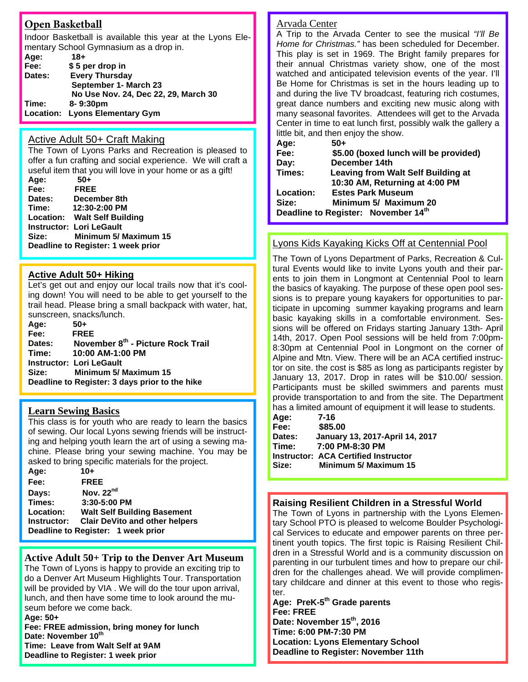## **Open Basketball**

Indoor Basketball is available this year at the Lyons Elementary School Gymnasium as a drop in.

| Age:   | $18+$                                |
|--------|--------------------------------------|
| Fee:   | \$5 per drop in                      |
| Dates: | <b>Every Thursday</b>                |
|        | September 1- March 23                |
|        | No Use Nov. 24, Dec 22, 29, March 30 |
| Time:  | 8-9:30pm                             |
|        | Location: Lyons Elementary Gym       |

#### Active Adult 50+ Craft Making

The Town of Lyons Parks and Recreation is pleased to offer a fun crafting and social experience. We will craft a useful item that you will love in your home or as a gift!

**Age: 50+ Fee: FREE Dates: December 8th Time: 12:30-2:00 PM Location: Walt Self Building Instructor: Lori LeGault Size: Minimum 5/ Maximum 15 Deadline to Register: 1 week prior** 

#### **Active Adult 50+ Hiking**

Let's get out and enjoy our local trails now that it's cooling down! You will need to be able to get yourself to the trail head. Please bring a small backpack with water, hat, sunscreen, snacks/lunch.

| 50+                                            |
|------------------------------------------------|
| <b>FREE</b>                                    |
| November 8th - Picture Rock Trail              |
| Time: 10:00 AM-1:00 PM                         |
| <b>Instructor: Lori LeGault</b>                |
| Minimum 5/ Maximum 15                          |
| Deadline to Register: 3 days prior to the hike |
|                                                |

#### **Learn Sewing Basics**

This class is for youth who are ready to learn the basics of sewing. Our local Lyons sewing friends will be instructing and helping youth learn the art of using a sewing machine. Please bring your sewing machine. You may be asked to bring specific materials for the project.

| Age:        | $10+$                                 |
|-------------|---------------------------------------|
| Fee:        | <b>FREE</b>                           |
| Days:       | Nov. 22nd                             |
| Times:      | 3:30-5:00 PM                          |
| Location:   | <b>Walt Self Building Basement</b>    |
| Instructor: | <b>Clair DeVito and other helpers</b> |
|             | Deadline to Register: 1 week prior    |

#### **Active Adult 50+ Trip to the Denver Art Museum**

The Town of Lyons is happy to provide an exciting trip to do a Denver Art Museum Highlights Tour. Transportation will be provided by VIA . We will do the tour upon arrival, lunch, and then have some time to look around the museum before we come back.

**Age: 50+ Fee: FREE admission, bring money for lunch Date: November 10th Time: Leave from Walt Self at 9AM Deadline to Register: 1 week prior** 

### Arvada Center

A Trip to the Arvada Center to see the musical *"I'll Be Home for Christmas."* has been scheduled for December. This play is set in 1969. The Bright family prepares for their annual Christmas variety show, one of the most watched and anticipated television events of the year. I'll Be Home for Christmas is set in the hours leading up to and during the live TV broadcast, featuring rich costumes, great dance numbers and exciting new music along with many seasonal favorites. Attendees will get to the Arvada Center in time to eat lunch first, possibly walk the gallery a little bit, and then enjoy the show.

| Age:      | 50+                                       |  |
|-----------|-------------------------------------------|--|
| Fee:      | \$5.00 (boxed lunch will be provided)     |  |
| Day:      | December 14th                             |  |
| Times:    | <b>Leaving from Walt Self Building at</b> |  |
|           | 10:30 AM, Returning at 4:00 PM            |  |
| Location: | <b>Estes Park Museum</b>                  |  |
| Size:     | Minimum 5/ Maximum 20                     |  |
|           | Deadline to Register: November 14th       |  |

### Lyons Kids Kayaking Kicks Off at Centennial Pool

The Town of Lyons Department of Parks, Recreation & Cultural Events would like to invite Lyons youth and their parents to join them in Longmont at Centennial Pool to learn the basics of kayaking. The purpose of these open pool sessions is to prepare young kayakers for opportunities to participate in upcoming summer kayaking programs and learn basic kayaking skills in a comfortable environment. Sessions will be offered on Fridays starting January 13th- April 14th, 2017. Open Pool sessions will be held from 7:00pm-8:30pm at Centennial Pool in Longmont on the corner of Alpine and Mtn. View. There will be an ACA certified instructor on site. the cost is \$85 as long as participants register by January 13, 2017. Drop in rates will be \$10.00/ session. Participants must be skilled swimmers and parents must provide transportation to and from the site. The Department has a limited amount of equipment it will lease to students.

| Age:   | 7-16                                        |
|--------|---------------------------------------------|
| Fee:   | \$85.00                                     |
| Dates: | January 13, 2017-April 14, 2017             |
| Time:  | 7:00 PM-8:30 PM                             |
|        | <b>Instructor: ACA Certified Instructor</b> |
| Size:  | Minimum 5/ Maximum 15                       |

#### **Raising Resilient Children in a Stressful World**

The Town of Lyons in partnership with the Lyons Elementary School PTO is pleased to welcome Boulder Psychological Services to educate and empower parents on three pertinent youth topics. The first topic is Raising Resilient Children in a Stressful World and is a community discussion on parenting in our turbulent times and how to prepare our children for the challenges ahead. We will provide complimentary childcare and dinner at this event to those who register.

Age: PreK-5<sup>th</sup> Grade parents **Fee: FREE Date: November 15th, 2016 Time: 6:00 PM-7:30 PM Location: Lyons Elementary School Deadline to Register: November 11th**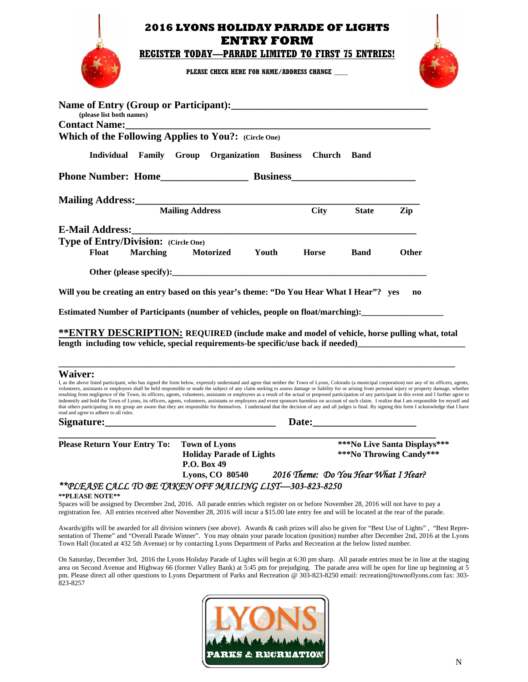| PLEASE CHECK HERE FOR NAME/ADDRESS CHANGE                                                          |  |
|----------------------------------------------------------------------------------------------------|--|
|                                                                                                    |  |
| (please list both names)<br><b>Contact Name:</b>                                                   |  |
| Which of the Following Applies to You?: (Circle One)                                               |  |
| Individual Family Group Organization Business Church Band                                          |  |
| <b>Phone Number: Home Contract Business</b>                                                        |  |
| <b>Mailing Address:</b> Mailing Address:<br>Mailing Address<br>$\Gamma$ ity<br><b>State</b><br>7in |  |

 **Individual Family Group Organization Business Church Band Phone Number: Home\_\_\_\_\_\_\_\_\_\_\_\_\_\_\_\_\_ Business\_\_\_\_\_\_\_\_\_\_\_\_\_\_\_\_\_\_\_\_\_\_\_\_ Mailing Address:\_\_\_\_\_\_\_\_\_\_\_\_\_\_\_\_\_\_\_\_\_\_\_\_\_\_\_\_\_\_\_\_\_\_\_\_\_\_\_\_\_\_\_\_\_\_\_\_\_\_\_\_\_\_\_ Mailing Address E-Mail Address: Type of Entry/Division: (Circle One) Float Marching Motorized Youth Horse Band Other** 

**Other (please specify):** 

**Will you be creating an entry based on this year's theme: "Do You Hear What I Hear"? yes no** 

**Estimated Number of Participants (number of vehicles, people on float/marching):\_\_** 

**\*\*ENTRY DESCRIPTION: REQUIRED (include make and model of vehicle, horse pulling what, total**  length including tow vehicle, special requirements-be specific/use back if needed)

**\_\_\_\_\_\_\_\_\_\_\_\_\_\_\_\_\_\_\_\_\_\_\_\_\_\_\_\_\_\_\_\_\_\_\_\_\_\_\_\_\_\_\_\_\_\_\_\_\_\_\_\_\_\_\_\_\_\_\_\_\_\_\_\_\_\_\_\_\_\_\_\_\_\_\_\_\_\_\_\_\_\_\_\_\_\_\_\_\_\_\_\_** 

#### **Waiver:**

I, as the above listed participant, who has signed the form below, expressly understand and agree that neither the Town of Lyons, Colorado (a municipal corporation) nor any of its officers, agents, volunteers, assistants or employees shall be held responsible or made the subject of any claim seeking to assess damage or liability for or arising from personal injury or property damage, whether resulting from negligence of the Town, its officers, agents, volunteers, assistants or employees as a result of the actual or proposed participation of any participant in this event and I further agree to<br>indemnify and hol that others participating in my group are aware that they are responsible for themselves. I understand that the decision of any and all judges is final. By signing this form I acknowledge that I have read and agree to adhere to all rules.

Signature: <u>Date:</u>

**\_\_\_\_\_\_\_\_\_\_\_\_\_\_\_\_\_\_\_\_\_\_\_\_\_\_\_\_\_\_\_\_\_\_\_\_\_\_\_\_\_\_\_\_\_\_\_\_\_\_\_\_\_\_\_\_\_\_\_\_\_\_\_\_\_\_\_\_\_\_\_\_\_**  Please Return Your Entry To: Town of Lyons \*\*\*No Live Santa Displays\*\*\*  **Holiday Parade of Lights \*\*\*No Throwing Candy\*\*\* P.O. Box 49 Lyons, CO 80540** *2016 Theme: Do You Hear What I Hear?* 

### *\*\*PLEASE CALL TO BE TAKEN OFF MAILING LIST—303-823-8250*

#### **\*\*PLEASE NOTE\*\***

Spaces will be assigned by December 2nd, 2016. All parade entries which register on or before November 28, 2016 will not have to pay a registration fee. All entries received after November 28, 2016 will incur a \$15.00 late entry fee and will be located at the rear of the parade.

Awards/gifts will be awarded for all division winners (see above). Awards & cash prizes will also be given for "Best Use of Lights" , "Best Representation of Theme" and "Overall Parade Winner". You may obtain your parade location (position) number after December 2nd, 2016 at the Lyons Town Hall (located at 432 5th Avenue) or by contacting Lyons Department of Parks and Recreation at the below listed number.

On Saturday, December 3rd, 2016 the Lyons Holiday Parade of Lights will begin at 6:30 pm sharp. All parade entries must be in line at the staging area on Second Avenue and Highway 66 (former Valley Bank) at 5:45 pm for prejudging. The parade area will be open for line up beginning at 5 pm. Please direct all other questions to Lyons Department of Parks and Recreation @ 303-823-8250 email: recreation@townoflyons.com fax: 303- 823-8257